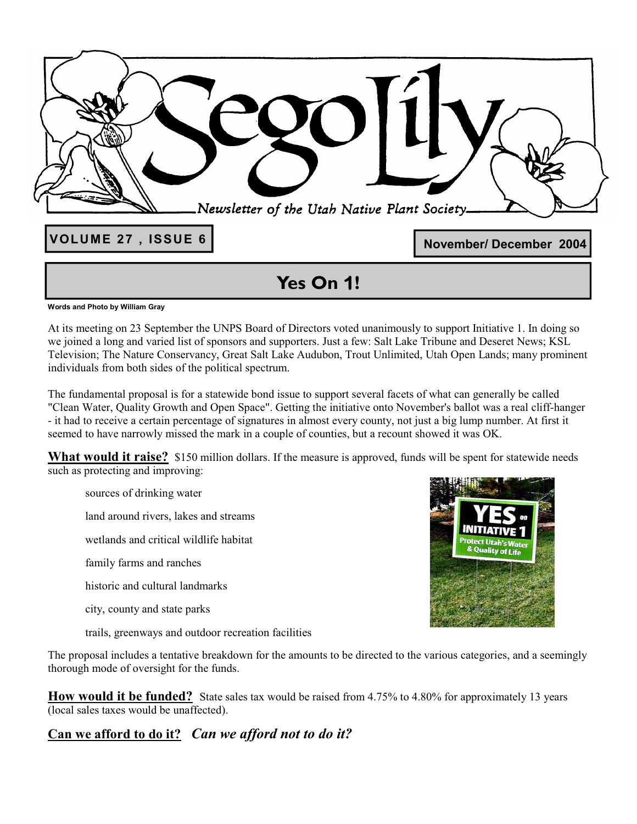| <b>VOLUME 27, ISSUE 6</b> | Newsletter of the Utah Native Plant Society.<br>November/December 2004 |
|---------------------------|------------------------------------------------------------------------|
|                           | $\bullet$                                                              |

### **Yes On 1!**

**Words and Photo by William Gray** 

At its meeting on 23 September the UNPS Board of Directors voted unanimously to support Initiative 1. In doing so we joined a long and varied list of sponsors and supporters. Just a few: Salt Lake Tribune and Deseret News; KSL Television; The Nature Conservancy, Great Salt Lake Audubon, Trout Unlimited, Utah Open Lands; many prominent individuals from both sides of the political spectrum.

The fundamental proposal is for a statewide bond issue to support several facets of what can generally be called "Clean Water, Quality Growth and Open Space". Getting the initiative onto November's ballot was a real cliff-hanger - it had to receive a certain percentage of signatures in almost every county, not just a big lump number. At first it seemed to have narrowly missed the mark in a couple of counties, but a recount showed it was OK.

What would it raise? \$150 million dollars. If the measure is approved, funds will be spent for statewide needs such as protecting and improving:

sources of drinking water

land around rivers, lakes and streams

wetlands and critical wildlife habitat

family farms and ranches

historic and cultural landmarks

city, county and state parks

trails, greenways and outdoor recreation facilities

The proposal includes a tentative breakdown for the amounts to be directed to the various categories, and a seemingly thorough mode of oversight for the funds.

**How would it be funded?** State sales tax would be raised from 4.75% to 4.80% for approximately 13 years (local sales taxes would be unaffected).

**Can we afford to do it?** *Can we afford not to do it?*

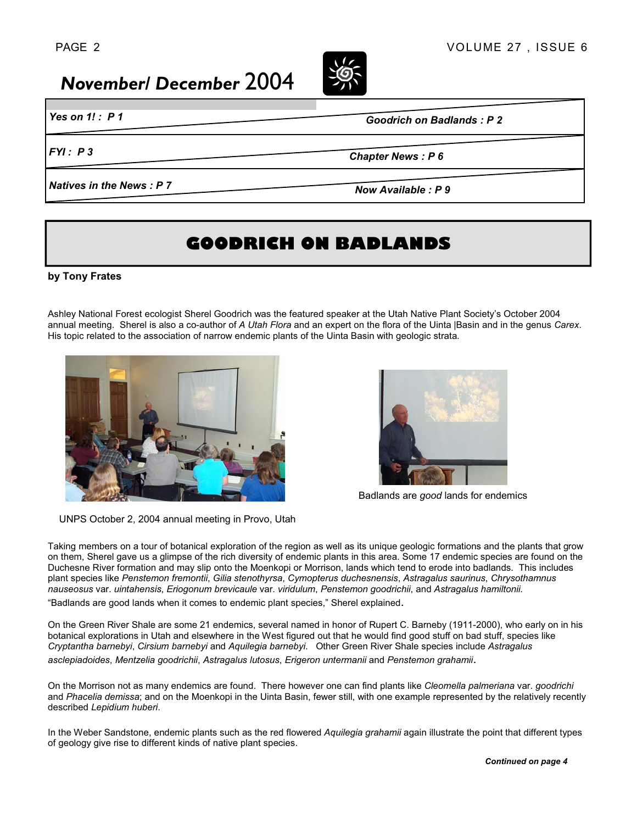## *November/ December* 2004

*Yes on 1! : P 1* 

*Goodrich on Badlands : P 2*

*FYI : P 3* 

*Chapter News : P 6* 

*Natives in the News : P 7* 

*Now Available : P 9* 

### **GOODRICH ON BADLANDS**

#### **by Tony Frates**

Ashley National Forest ecologist Sherel Goodrich was the featured speaker at the Utah Native Plant Society's October 2004 annual meeting. Sherel is also a co-author of *A Utah Flora* and an expert on the flora of the Uinta |Basin and in the genus *Carex*. His topic related to the association of narrow endemic plants of the Uinta Basin with geologic strata.





Badlands are *good* lands for endemics

UNPS October 2, 2004 annual meeting in Provo, Utah

Taking members on a tour of botanical exploration of the region as well as its unique geologic formations and the plants that grow on them, Sherel gave us a glimpse of the rich diversity of endemic plants in this area. Some 17 endemic species are found on the Duchesne River formation and may slip onto the Moenkopi or Morrison, lands which tend to erode into badlands. This includes plant species like *Penstemon fremontii*, *Gilia stenothyrsa*, *Cymopterus duchesnensis*, *Astragalus saurinus*, *Chrysothamnus nauseosus* var. *uintahensis*, *Eriogonum brevicaule* var. *viridulum*, *Penstemon goodrichii*, and *Astragalus hamiltonii.* 

"Badlands are good lands when it comes to endemic plant species," Sherel explained.

On the Green River Shale are some 21 endemics, several named in honor of Rupert C. Barneby (1911-2000), who early on in his botanical explorations in Utah and elsewhere in the West figured out that he would find good stuff on bad stuff, species like *Cryptantha barnebyi*, *Cirsium barnebyi* and *Aquilegia barnebyi*. Other Green River Shale species include *Astragalus asclepiadoides*, *Mentzelia goodrichii*, *Astragalus lutosus*, *Erigeron untermanii* and *Penstemon grahamii*.

On the Morrison not as many endemics are found. There however one can find plants like *Cleomella palmeriana* var. *goodrichi*  and *Phacelia demissa*; and on the Moenkopi in the Uinta Basin, fewer still, with one example represented by the relatively recently described *Lepidium huberi*.

In the Weber Sandstone, endemic plants such as the red flowered *Aquilegia grahamii* again illustrate the point that different types of geology give rise to different kinds of native plant species.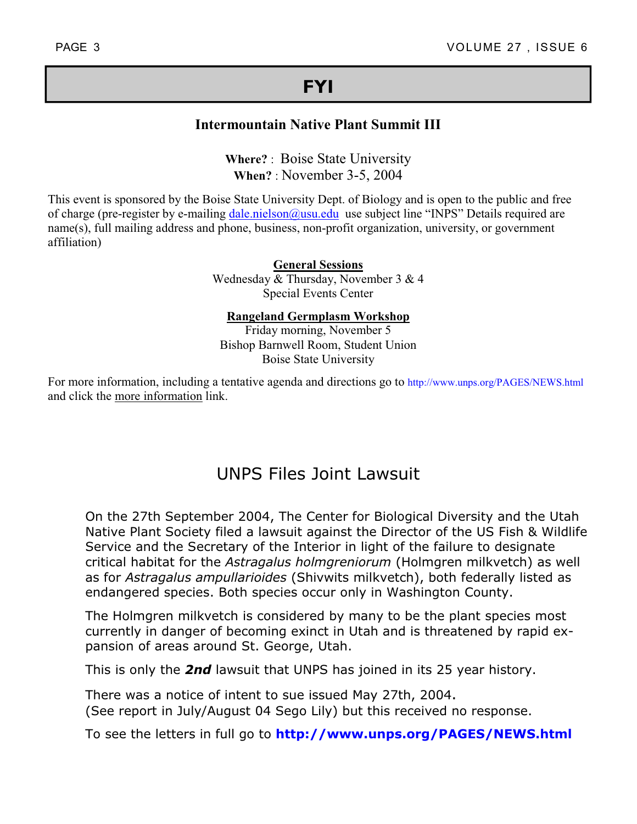### **FYI**

### **Intermountain Native Plant Summit III**

**Where?** : Boise State University **When?** : November 3-5, 2004

This event is sponsored by the Boise State University Dept. of Biology and is open to the public and free of charge (pre-register by e-mailing dale.nielson@usu.edu use subject line "INPS" Details required are name(s), full mailing address and phone, business, non-profit organization, university, or government affiliation)

> **General Sessions** Wednesday & Thursday, November 3 & 4 Special Events Center

**Rangeland Germplasm Workshop**

Friday morning, November 5 Bishop Barnwell Room, Student Union Boise State University

For more information, including a tentative agenda and directions go to http://www.unps.org/PAGES/NEWS.html and click the more information link.

### UNPS Files Joint Lawsuit

On the 27th September 2004, The Center for Biological Diversity and the Utah Native Plant Society filed a lawsuit against the Director of the US Fish & Wildlife Service and the Secretary of the Interior in light of the failure to designate critical habitat for the *Astragalus holmgreniorum* (Holmgren milkvetch) as well as for *Astragalus ampullarioides* (Shivwits milkvetch), both federally listed as endangered species. Both species occur only in Washington County.

The Holmgren milkvetch is considered by many to be the plant species most currently in danger of becoming exinct in Utah and is threatened by rapid expansion of areas around St. George, Utah.

This is only the *2nd* lawsuit that UNPS has joined in its 25 year history.

There was a notice of intent to sue issued May 27th, 2004. (See report in July/August 04 Sego Lily) but this received no response.

To see the letters in full go to **http://www.unps.org/PAGES/NEWS.html**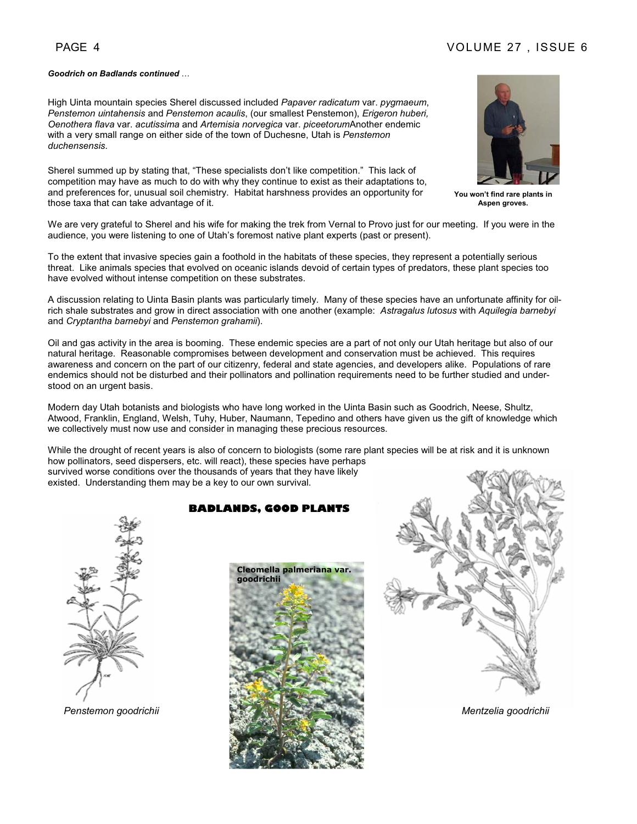#### PAGE 4 VOLUME 27 , ISSUE 6

#### *Goodrich on Badlands continued* …

High Uinta mountain species Sherel discussed included *Papaver radicatum* var. *pygmaeum*, *Penstemon uintahensis* and *Penstemon acaulis*, (our smallest Penstemon), *Erigeron huberi, Oenothera flava* var. *acutissima* and *Artemisia norvegica* var. *piceetorum*Another endemic with a very small range on either side of the town of Duchesne, Utah is *Penstemon duchensensis*.

Sherel summed up by stating that, "These specialists don't like competition." This lack of competition may have as much to do with why they continue to exist as their adaptations to, and preferences for, unusual soil chemistry. Habitat harshness provides an opportunity for those taxa that can take advantage of it.



**You won't find rare plants in Aspen groves.** 

We are very grateful to Sherel and his wife for making the trek from Vernal to Provo just for our meeting. If you were in the audience, you were listening to one of Utah's foremost native plant experts (past or present).

To the extent that invasive species gain a foothold in the habitats of these species, they represent a potentially serious threat. Like animals species that evolved on oceanic islands devoid of certain types of predators, these plant species too have evolved without intense competition on these substrates.

A discussion relating to Uinta Basin plants was particularly timely. Many of these species have an unfortunate affinity for oilrich shale substrates and grow in direct association with one another (example: *Astragalus lutosus* with *Aquilegia barnebyi*  and *Cryptantha barnebyi* and *Penstemon grahamii*).

Oil and gas activity in the area is booming. These endemic species are a part of not only our Utah heritage but also of our natural heritage. Reasonable compromises between development and conservation must be achieved. This requires awareness and concern on the part of our citizenry, federal and state agencies, and developers alike. Populations of rare endemics should not be disturbed and their pollinators and pollination requirements need to be further studied and understood on an urgent basis.

Modern day Utah botanists and biologists who have long worked in the Uinta Basin such as Goodrich, Neese, Shultz, Atwood, Franklin, England, Welsh, Tuhy, Huber, Naumann, Tepedino and others have given us the gift of knowledge which we collectively must now use and consider in managing these precious resources.

While the drought of recent years is also of concern to biologists (some rare plant species will be at risk and it is unknown how pollinators, seed dispersers, etc. will react), these species have perhaps survived worse conditions over the thousands of years that they have likely existed. Understanding them may be a key to our own survival.

#### **BADLANDS, GOOD PLANTS**





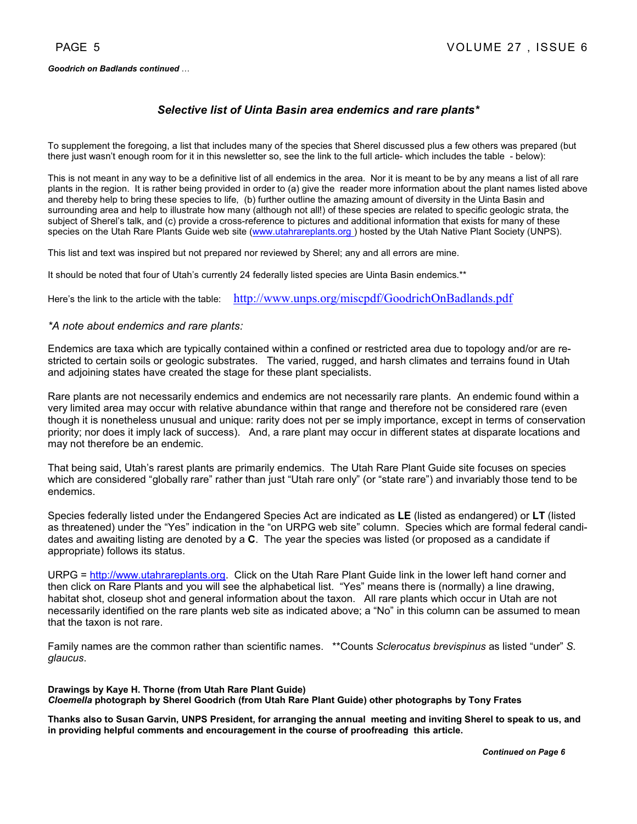#### *Goodrich on Badlands continued* …

#### *Selective list of Uinta Basin area endemics and rare plants\**

To supplement the foregoing, a list that includes many of the species that Sherel discussed plus a few others was prepared (but there just wasn't enough room for it in this newsletter so, see the link to the full article- which includes the table - below):

This is not meant in any way to be a definitive list of all endemics in the area. Nor it is meant to be by any means a list of all rare plants in the region. It is rather being provided in order to (a) give the reader more information about the plant names listed above and thereby help to bring these species to life, (b) further outline the amazing amount of diversity in the Uinta Basin and surrounding area and help to illustrate how many (although not all!) of these species are related to specific geologic strata, the subject of Sherel's talk, and (c) provide a cross-reference to pictures and additional information that exists for many of these species on the Utah Rare Plants Guide web site (www.utahrareplants.org) hosted by the Utah Native Plant Society (UNPS).

This list and text was inspired but not prepared nor reviewed by Sherel; any and all errors are mine.

It should be noted that four of Utah's currently 24 federally listed species are Uinta Basin endemics.\*\*

Here's the link to the article with the table: http://www.unps.org/miscpdf/GoodrichOnBadlands.pdf

#### *\*A note about endemics and rare plants:*

Endemics are taxa which are typically contained within a confined or restricted area due to topology and/or are restricted to certain soils or geologic substrates. The varied, rugged, and harsh climates and terrains found in Utah and adjoining states have created the stage for these plant specialists.

Rare plants are not necessarily endemics and endemics are not necessarily rare plants. An endemic found within a very limited area may occur with relative abundance within that range and therefore not be considered rare (even though it is nonetheless unusual and unique: rarity does not per se imply importance, except in terms of conservation priority; nor does it imply lack of success). And, a rare plant may occur in different states at disparate locations and may not therefore be an endemic.

That being said, Utah's rarest plants are primarily endemics. The Utah Rare Plant Guide site focuses on species which are considered "globally rare" rather than just "Utah rare only" (or "state rare") and invariably those tend to be endemics.

Species federally listed under the Endangered Species Act are indicated as **LE** (listed as endangered) or **LT** (listed as threatened) under the "Yes" indication in the "on URPG web site" column. Species which are formal federal candidates and awaiting listing are denoted by a **C**. The year the species was listed (or proposed as a candidate if appropriate) follows its status.

URPG = http://www.utahrareplants.org. Click on the Utah Rare Plant Guide link in the lower left hand corner and then click on Rare Plants and you will see the alphabetical list. "Yes" means there is (normally) a line drawing, habitat shot, closeup shot and general information about the taxon. All rare plants which occur in Utah are not necessarily identified on the rare plants web site as indicated above; a "No" in this column can be assumed to mean that the taxon is not rare.

Family names are the common rather than scientific names. \*\*Counts *Sclerocatus brevispinus* as listed "under" *S. glaucus*.

**Drawings by Kaye H. Thorne (from Utah Rare Plant Guide)**  *Cloemella* **photograph by Sherel Goodrich (from Utah Rare Plant Guide) other photographs by Tony Frates** 

**Thanks also to Susan Garvin, UNPS President, for arranging the annual meeting and inviting Sherel to speak to us, and in providing helpful comments and encouragement in the course of proofreading this article.**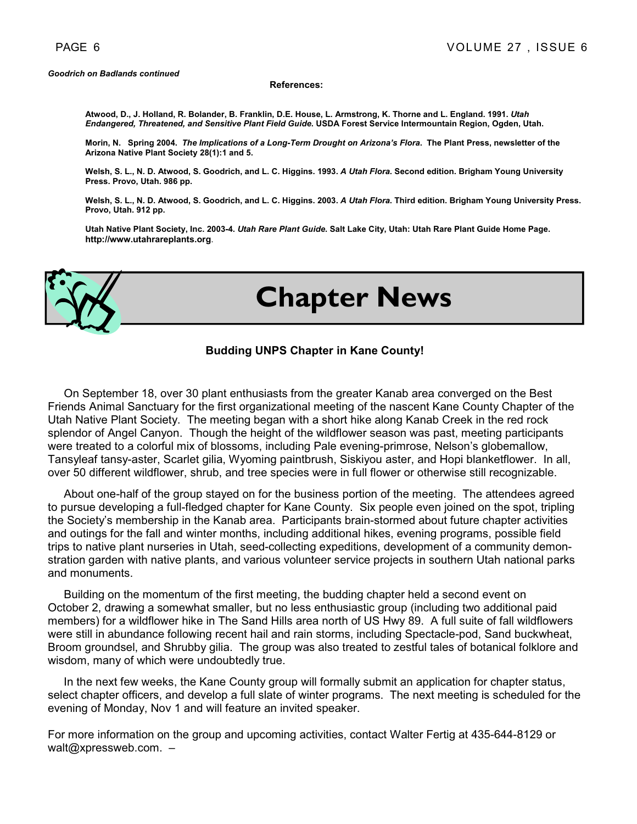#### **References:**

**Atwood, D., J. Holland, R. Bolander, B. Franklin, D.E. House, L. Armstrong, K. Thorne and L. England. 1991.** *Utah Endangered, Threatened, and Sensitive Plant Field Guide***. USDA Forest Service Intermountain Region, Ogden, Utah.** 

**Morin, N. Spring 2004.** *The Implications of a Long-Term Drought on Arizona's Flora***. The Plant Press, newsletter of the Arizona Native Plant Society 28(1):1 and 5.** 

**Welsh, S. L., N. D. Atwood, S. Goodrich, and L. C. Higgins. 1993.** *A Utah Flora***. Second edition. Brigham Young University Press. Provo, Utah. 986 pp.** 

Welsh, S. L., N. D. Atwood, S. Goodrich, and L. C. Higgins. 2003. A Utah Flora. Third edition. Brigham Young University Press. **Provo, Utah. 912 pp.** 

**Utah Native Plant Society, Inc. 2003-4.** *Utah Rare Plant Guide***. Salt Lake City, Utah: Utah Rare Plant Guide Home Page. http://www.utahrareplants.org**.



# **Chapter News**

#### **Budding UNPS Chapter in Kane County!**

 On September 18, over 30 plant enthusiasts from the greater Kanab area converged on the Best Friends Animal Sanctuary for the first organizational meeting of the nascent Kane County Chapter of the Utah Native Plant Society. The meeting began with a short hike along Kanab Creek in the red rock splendor of Angel Canyon. Though the height of the wildflower season was past, meeting participants were treated to a colorful mix of blossoms, including Pale evening-primrose, Nelson's globemallow, Tansyleaf tansy-aster, Scarlet gilia, Wyoming paintbrush, Siskiyou aster, and Hopi blanketflower. In all, over 50 different wildflower, shrub, and tree species were in full flower or otherwise still recognizable.

 About one-half of the group stayed on for the business portion of the meeting. The attendees agreed to pursue developing a full-fledged chapter for Kane County. Six people even joined on the spot, tripling the Society's membership in the Kanab area. Participants brain-stormed about future chapter activities and outings for the fall and winter months, including additional hikes, evening programs, possible field trips to native plant nurseries in Utah, seed-collecting expeditions, development of a community demonstration garden with native plants, and various volunteer service projects in southern Utah national parks and monuments.

 Building on the momentum of the first meeting, the budding chapter held a second event on October 2, drawing a somewhat smaller, but no less enthusiastic group (including two additional paid members) for a wildflower hike in The Sand Hills area north of US Hwy 89. A full suite of fall wildflowers were still in abundance following recent hail and rain storms, including Spectacle-pod, Sand buckwheat, Broom groundsel, and Shrubby gilia. The group was also treated to zestful tales of botanical folklore and wisdom, many of which were undoubtedly true.

 In the next few weeks, the Kane County group will formally submit an application for chapter status, select chapter officers, and develop a full slate of winter programs. The next meeting is scheduled for the evening of Monday, Nov 1 and will feature an invited speaker.

For more information on the group and upcoming activities, contact Walter Fertig at 435-644-8129 or walt@xpressweb.com.  $-$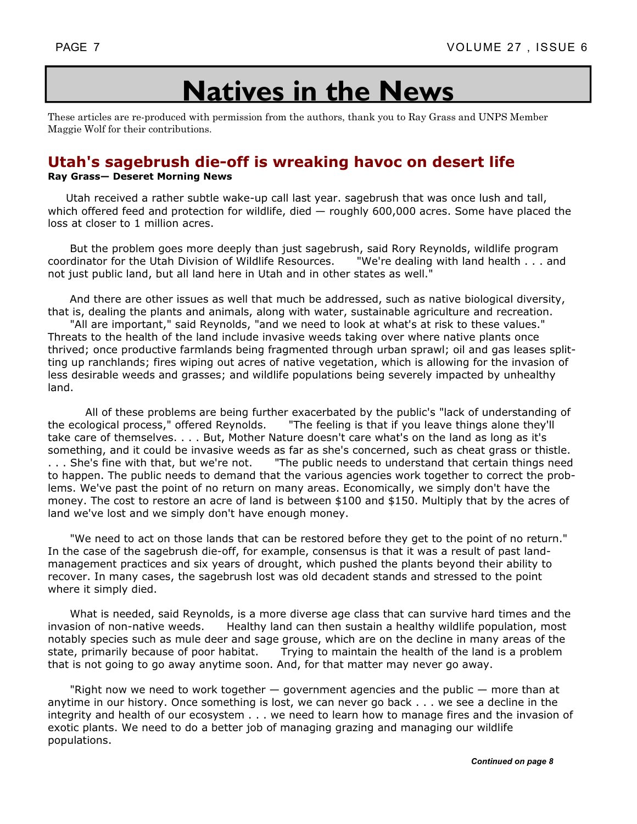# **Natives in the News**

These articles are re-produced with permission from the authors, thank you to Ray Grass and UNPS Member Maggie Wolf for their contributions.

### **Utah's sagebrush die-off is wreaking havoc on desert life**

#### **Ray Grass— Deseret Morning News**

Utah received a rather subtle wake-up call last year. sagebrush that was once lush and tall, which offered feed and protection for wildlife, died — roughly 600,000 acres. Some have placed the loss at closer to 1 million acres.

 But the problem goes more deeply than just sagebrush, said Rory Reynolds, wildlife program coordinator for the Utah Division of Wildlife Resources. "We're dealing with land health . . . and not just public land, but all land here in Utah and in other states as well."

 And there are other issues as well that much be addressed, such as native biological diversity, that is, dealing the plants and animals, along with water, sustainable agriculture and recreation.

 "All are important," said Reynolds, "and we need to look at what's at risk to these values." Threats to the health of the land include invasive weeds taking over where native plants once thrived; once productive farmlands being fragmented through urban sprawl; oil and gas leases splitting up ranchlands; fires wiping out acres of native vegetation, which is allowing for the invasion of less desirable weeds and grasses; and wildlife populations being severely impacted by unhealthy land.

 All of these problems are being further exacerbated by the public's "lack of understanding of the ecological process," offered Reynolds. "The feeling is that if you leave things alone they'll take care of themselves. . . . But, Mother Nature doesn't care what's on the land as long as it's something, and it could be invasive weeds as far as she's concerned, such as cheat grass or thistle. ... She's fine with that, but we're not. The public needs to understand that certain things need to happen. The public needs to demand that the various agencies work together to correct the problems. We've past the point of no return on many areas. Economically, we simply don't have the money. The cost to restore an acre of land is between \$100 and \$150. Multiply that by the acres of land we've lost and we simply don't have enough money.

 "We need to act on those lands that can be restored before they get to the point of no return." In the case of the sagebrush die-off, for example, consensus is that it was a result of past landmanagement practices and six years of drought, which pushed the plants beyond their ability to recover. In many cases, the sagebrush lost was old decadent stands and stressed to the point where it simply died.

 What is needed, said Reynolds, is a more diverse age class that can survive hard times and the invasion of non-native weeds. Healthy land can then sustain a healthy wildlife population, most notably species such as mule deer and sage grouse, which are on the decline in many areas of the state, primarily because of poor habitat. Trying to maintain the health of the land is a problem Trying to maintain the health of the land is a problem that is not going to go away anytime soon. And, for that matter may never go away.

"Right now we need to work together  $-$  government agencies and the public  $-$  more than at anytime in our history. Once something is lost, we can never go back . . . we see a decline in the integrity and health of our ecosystem . . . we need to learn how to manage fires and the invasion of exotic plants. We need to do a better job of managing grazing and managing our wildlife populations.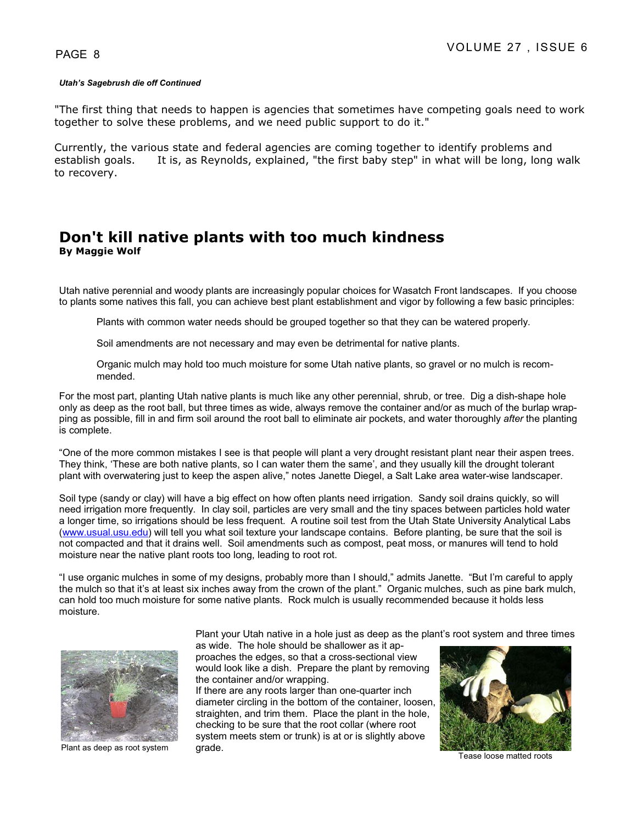#### *Utah's Sagebrush die off Continued*

"The first thing that needs to happen is agencies that sometimes have competing goals need to work together to solve these problems, and we need public support to do it."

Currently, the various state and federal agencies are coming together to identify problems and establish goals. It is, as Reynolds, explained, "the first baby step" in what will be long, long walk to recovery.

### **Don't kill native plants with too much kindness By Maggie Wolf**

Utah native perennial and woody plants are increasingly popular choices for Wasatch Front landscapes. If you choose to plants some natives this fall, you can achieve best plant establishment and vigor by following a few basic principles:

Plants with common water needs should be grouped together so that they can be watered properly.

Soil amendments are not necessary and may even be detrimental for native plants.

 Organic mulch may hold too much moisture for some Utah native plants, so gravel or no mulch is recommended.

For the most part, planting Utah native plants is much like any other perennial, shrub, or tree. Dig a dish-shape hole only as deep as the root ball, but three times as wide, always remove the container and/or as much of the burlap wrapping as possible, fill in and firm soil around the root ball to eliminate air pockets, and water thoroughly *after* the planting is complete.

"One of the more common mistakes I see is that people will plant a very drought resistant plant near their aspen trees. They think, 'These are both native plants, so I can water them the same', and they usually kill the drought tolerant plant with overwatering just to keep the aspen alive," notes Janette Diegel, a Salt Lake area water-wise landscaper.

Soil type (sandy or clay) will have a big effect on how often plants need irrigation. Sandy soil drains quickly, so will need irrigation more frequently. In clay soil, particles are very small and the tiny spaces between particles hold water a longer time, so irrigations should be less frequent. A routine soil test from the Utah State University Analytical Labs (www.usual.usu.edu) will tell you what soil texture your landscape contains. Before planting, be sure that the soil is not compacted and that it drains well. Soil amendments such as compost, peat moss, or manures will tend to hold moisture near the native plant roots too long, leading to root rot.

"I use organic mulches in some of my designs, probably more than I should," admits Janette. "But I'm careful to apply the mulch so that it's at least six inches away from the crown of the plant." Organic mulches, such as pine bark mulch, can hold too much moisture for some native plants. Rock mulch is usually recommended because it holds less moisture.



Plant as deep as root system grade.

Plant your Utah native in a hole just as deep as the plant's root system and three times

as wide. The hole should be shallower as it approaches the edges, so that a cross-sectional view would look like a dish. Prepare the plant by removing the container and/or wrapping.

If there are any roots larger than one-quarter inch diameter circling in the bottom of the container, loosen, straighten, and trim them. Place the plant in the hole, checking to be sure that the root collar (where root system meets stem or trunk) is at or is slightly above



Tease loose matted roots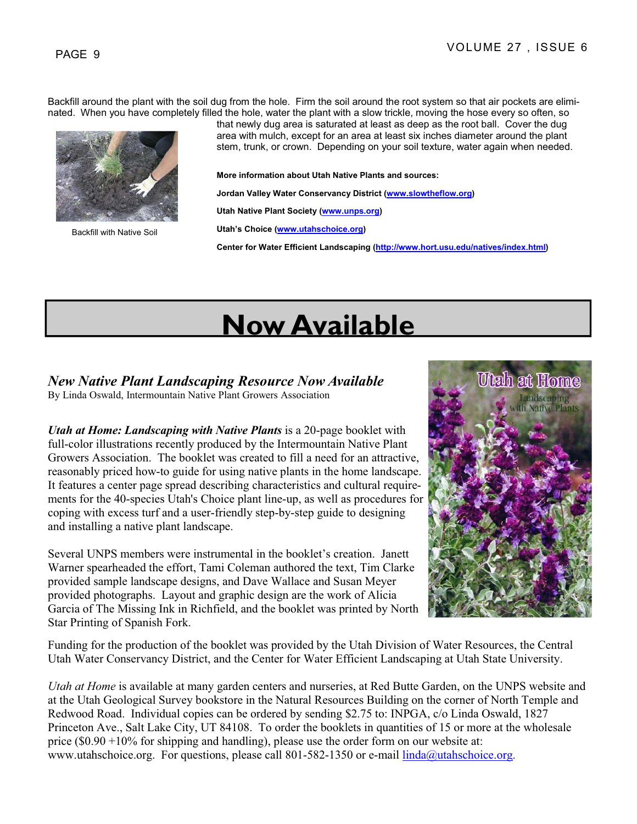Backfill around the plant with the soil dug from the hole. Firm the soil around the root system so that air pockets are eliminated. When you have completely filled the hole, water the plant with a slow trickle, moving the hose every so often, so



Backfill with Native Soil

that newly dug area is saturated at least as deep as the root ball. Cover the dug area with mulch, except for an area at least six inches diameter around the plant stem, trunk, or crown. Depending on your soil texture, water again when needed.

**More information about Utah Native Plants and sources:** 

**Jordan Valley Water Conservancy District (www.slowtheflow.org)**

**Utah Native Plant Society (www.unps.org)**

**Utah's Choice (www.utahschoice.org)**

**Center for Water Efficient Landscaping (http://www.hort.usu.edu/natives/index.html)**

# **Now Available**

### *New Native Plant Landscaping Resource Now Available*

By Linda Oswald, Intermountain Native Plant Growers Association

*Utah at Home: Landscaping with Native Plants* is a 20-page booklet with full-color illustrations recently produced by the Intermountain Native Plant Growers Association. The booklet was created to fill a need for an attractive, reasonably priced how-to guide for using native plants in the home landscape. It features a center page spread describing characteristics and cultural requirements for the 40-species Utah's Choice plant line-up, as well as procedures for coping with excess turf and a user-friendly step-by-step guide to designing and installing a native plant landscape.

Several UNPS members were instrumental in the booklet's creation. Janett Warner spearheaded the effort, Tami Coleman authored the text, Tim Clarke provided sample landscape designs, and Dave Wallace and Susan Meyer provided photographs. Layout and graphic design are the work of Alicia Garcia of The Missing Ink in Richfield, and the booklet was printed by North Star Printing of Spanish Fork.

![](_page_8_Picture_16.jpeg)

Funding for the production of the booklet was provided by the Utah Division of Water Resources, the Central Utah Water Conservancy District, and the Center for Water Efficient Landscaping at Utah State University.

*Utah at Home* is available at many garden centers and nurseries, at Red Butte Garden, on the UNPS website and at the Utah Geological Survey bookstore in the Natural Resources Building on the corner of North Temple and Redwood Road. Individual copies can be ordered by sending \$2.75 to: INPGA, c/o Linda Oswald, 1827 Princeton Ave., Salt Lake City, UT 84108. To order the booklets in quantities of 15 or more at the wholesale price (\$0.90 +10% for shipping and handling), please use the order form on our website at: www.utahschoice.org. For questions, please call 801-582-1350 or e-mail  $\lim_{a \to \infty}$  dialections,